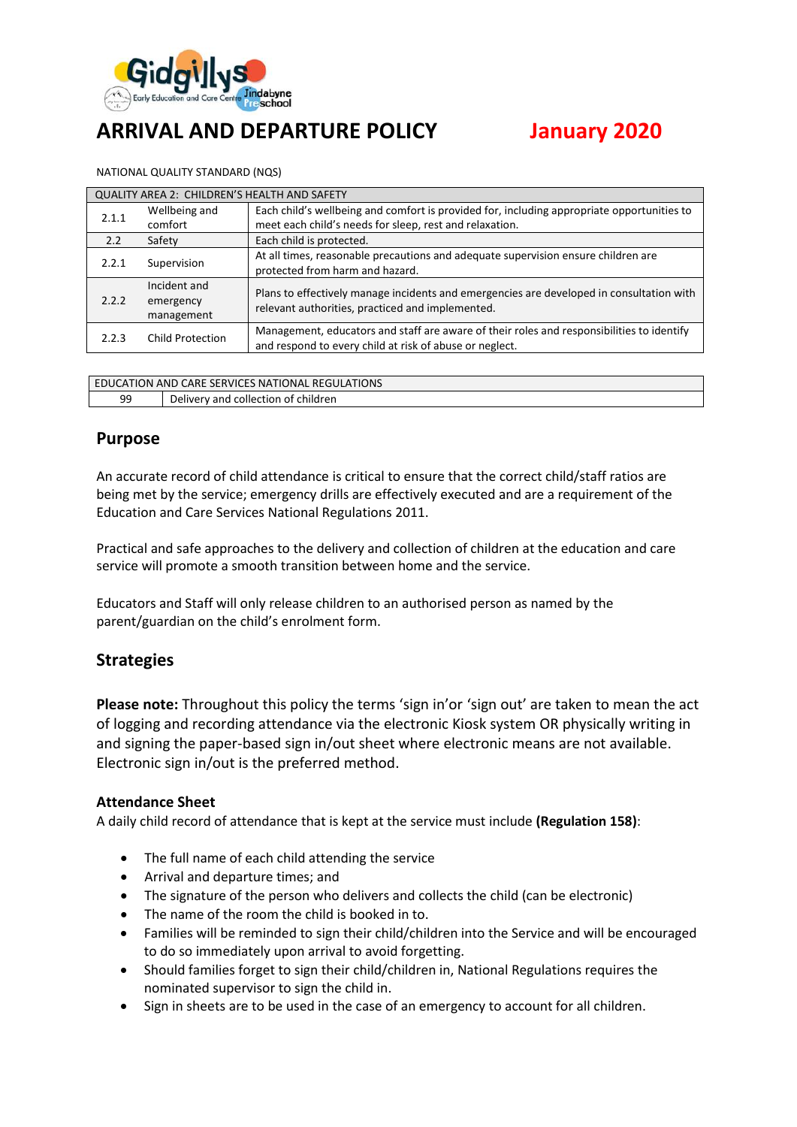

# **ARRIVAL AND DEPARTURE POLICY January 2020**

NATIONAL QUALITY STANDARD (NQS)

| QUALITY AREA 2: CHILDREN'S HEALTH AND SAFETY |                                                                                                                                                                                   |                                                                                                                                                      |  |  |  |
|----------------------------------------------|-----------------------------------------------------------------------------------------------------------------------------------------------------------------------------------|------------------------------------------------------------------------------------------------------------------------------------------------------|--|--|--|
| 2.1.1                                        | Each child's wellbeing and comfort is provided for, including appropriate opportunities to<br>Wellbeing and<br>meet each child's needs for sleep, rest and relaxation.<br>comfort |                                                                                                                                                      |  |  |  |
| 2.2                                          | Safety                                                                                                                                                                            | Each child is protected.                                                                                                                             |  |  |  |
| 2.2.1                                        | Supervision                                                                                                                                                                       | At all times, reasonable precautions and adequate supervision ensure children are<br>protected from harm and hazard.                                 |  |  |  |
| 2.2.2                                        | Incident and<br>emergency<br>management                                                                                                                                           | Plans to effectively manage incidents and emergencies are developed in consultation with<br>relevant authorities, practiced and implemented.         |  |  |  |
| 2.2.3                                        | <b>Child Protection</b>                                                                                                                                                           | Management, educators and staff are aware of their roles and responsibilities to identify<br>and respond to every child at risk of abuse or neglect. |  |  |  |

| EDUCATION AND CARE SERVICES NATIONAL REGULATIONS |                                     |  |  |
|--------------------------------------------------|-------------------------------------|--|--|
| 99                                               | Delivery and collection of children |  |  |

#### **Purpose**

An accurate record of child attendance is critical to ensure that the correct child/staff ratios are being met by the service; emergency drills are effectively executed and are a requirement of the Education and Care Services National Regulations 2011.

Practical and safe approaches to the delivery and collection of children at the education and care service will promote a smooth transition between home and the service.

Educators and Staff will only release children to an authorised person as named by the parent/guardian on the child's enrolment form.

# **Strategies**

**Please note:** Throughout this policy the terms 'sign in'or 'sign out' are taken to mean the act of logging and recording attendance via the electronic Kiosk system OR physically writing in and signing the paper-based sign in/out sheet where electronic means are not available. Electronic sign in/out is the preferred method.

#### **Attendance Sheet**

A daily child record of attendance that is kept at the service must include **(Regulation 158)**:

- The full name of each child attending the service
- Arrival and departure times; and
- The signature of the person who delivers and collects the child (can be electronic)
- The name of the room the child is booked in to.
- Families will be reminded to sign their child/children into the Service and will be encouraged to do so immediately upon arrival to avoid forgetting.
- Should families forget to sign their child/children in, National Regulations requires the nominated supervisor to sign the child in.
- Sign in sheets are to be used in the case of an emergency to account for all children.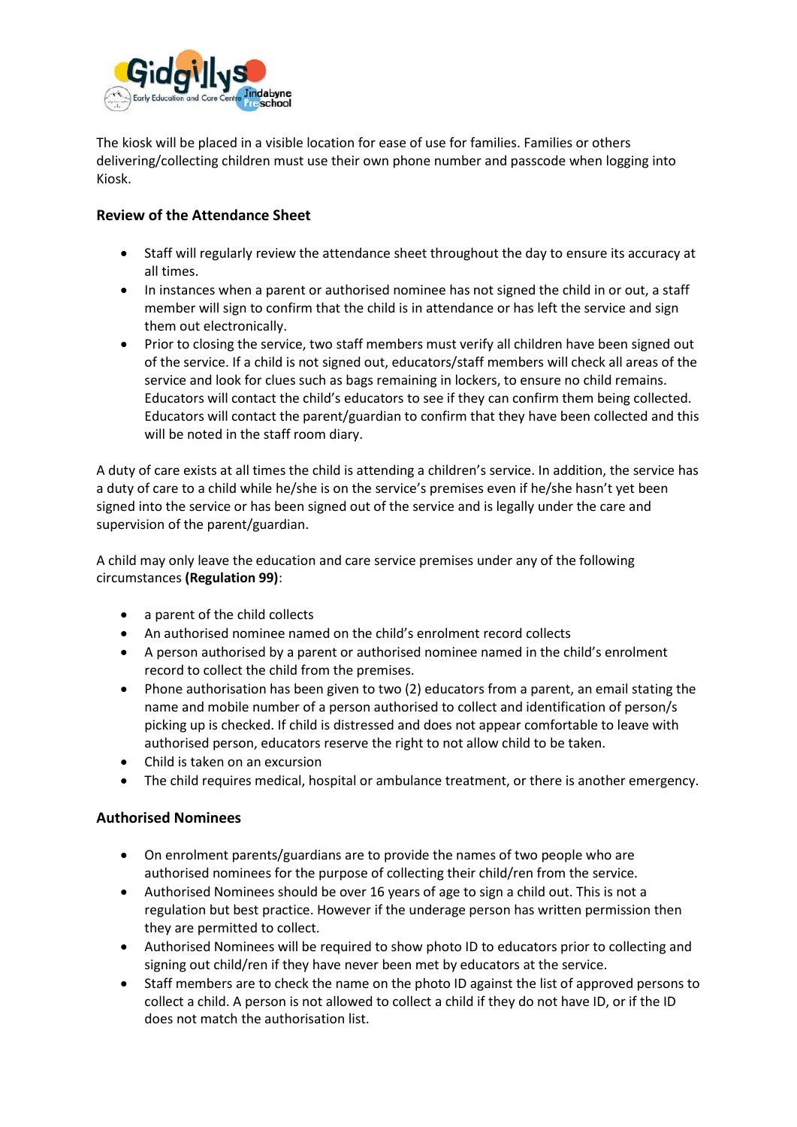

The kiosk will be placed in a visible location for ease of use for families. Families or others delivering/collecting children must use their own phone number and passcode when logging into Kiosk.

#### **Review of the Attendance Sheet**

- Staff will regularly review the attendance sheet throughout the day to ensure its accuracy at all times.
- In instances when a parent or authorised nominee has not signed the child in or out, a staff member will sign to confirm that the child is in attendance or has left the service and sign them out electronically.
- Prior to closing the service, two staff members must verify all children have been signed out of the service. If a child is not signed out, educators/staff members will check all areas of the service and look for clues such as bags remaining in lockers, to ensure no child remains. Educators will contact the child's educators to see if they can confirm them being collected. Educators will contact the parent/guardian to confirm that they have been collected and this will be noted in the staff room diary.

A duty of care exists at all times the child is attending a children's service. In addition, the service has a duty of care to a child while he/she is on the service's premises even if he/she hasn't yet been signed into the service or has been signed out of the service and is legally under the care and supervision of the parent/guardian.

A child may only leave the education and care service premises under any of the following circumstances **(Regulation 99)**:

- a parent of the child collects
- An authorised nominee named on the child's enrolment record collects
- A person authorised by a parent or authorised nominee named in the child's enrolment record to collect the child from the premises.
- Phone authorisation has been given to two (2) educators from a parent, an email stating the name and mobile number of a person authorised to collect and identification of person/s picking up is checked. If child is distressed and does not appear comfortable to leave with authorised person, educators reserve the right to not allow child to be taken.
- Child is taken on an excursion
- The child requires medical, hospital or ambulance treatment, or there is another emergency.

#### **Authorised Nominees**

- On enrolment parents/guardians are to provide the names of two people who are authorised nominees for the purpose of collecting their child/ren from the service.
- Authorised Nominees should be over 16 years of age to sign a child out. This is not a regulation but best practice. However if the underage person has written permission then they are permitted to collect.
- Authorised Nominees will be required to show photo ID to educators prior to collecting and signing out child/ren if they have never been met by educators at the service.
- Staff members are to check the name on the photo ID against the list of approved persons to collect a child. A person is not allowed to collect a child if they do not have ID, or if the ID does not match the authorisation list.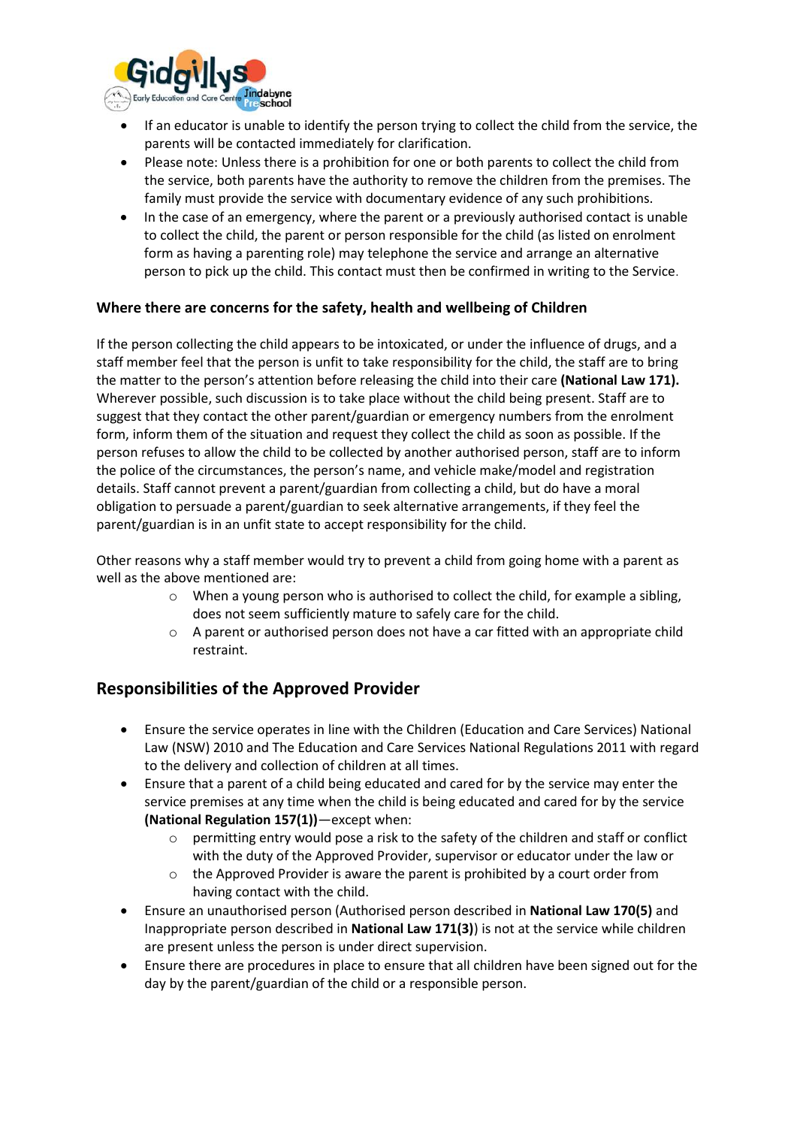

- If an educator is unable to identify the person trying to collect the child from the service, the parents will be contacted immediately for clarification.
- Please note: Unless there is a prohibition for one or both parents to collect the child from the service, both parents have the authority to remove the children from the premises. The family must provide the service with documentary evidence of any such prohibitions.
- In the case of an emergency, where the parent or a previously authorised contact is unable to collect the child, the parent or person responsible for the child (as listed on enrolment form as having a parenting role) may telephone the service and arrange an alternative person to pick up the child. This contact must then be confirmed in writing to the Service.

#### **Where there are concerns for the safety, health and wellbeing of Children**

If the person collecting the child appears to be intoxicated, or under the influence of drugs, and a staff member feel that the person is unfit to take responsibility for the child, the staff are to bring the matter to the person's attention before releasing the child into their care **(National Law 171).** Wherever possible, such discussion is to take place without the child being present. Staff are to suggest that they contact the other parent/guardian or emergency numbers from the enrolment form, inform them of the situation and request they collect the child as soon as possible. If the person refuses to allow the child to be collected by another authorised person, staff are to inform the police of the circumstances, the person's name, and vehicle make/model and registration details. Staff cannot prevent a parent/guardian from collecting a child, but do have a moral obligation to persuade a parent/guardian to seek alternative arrangements, if they feel the parent/guardian is in an unfit state to accept responsibility for the child.

Other reasons why a staff member would try to prevent a child from going home with a parent as well as the above mentioned are:

- $\circ$  When a young person who is authorised to collect the child, for example a sibling, does not seem sufficiently mature to safely care for the child.
- $\circ$  A parent or authorised person does not have a car fitted with an appropriate child restraint.

# **Responsibilities of the Approved Provider**

- Ensure the service operates in line with the Children (Education and Care Services) National Law (NSW) 2010 and The Education and Care Services National Regulations 2011 with regard to the delivery and collection of children at all times.
- Ensure that a parent of a child being educated and cared for by the service may enter the service premises at any time when the child is being educated and cared for by the service **(National Regulation 157(1))**—except when:
	- $\circ$  permitting entry would pose a risk to the safety of the children and staff or conflict with the duty of the Approved Provider, supervisor or educator under the law or
	- o the Approved Provider is aware the parent is prohibited by a court order from having contact with the child.
- Ensure an unauthorised person (Authorised person described in **National Law 170(5)** and Inappropriate person described in **National Law 171(3)**) is not at the service while children are present unless the person is under direct supervision.
- Ensure there are procedures in place to ensure that all children have been signed out for the day by the parent/guardian of the child or a responsible person.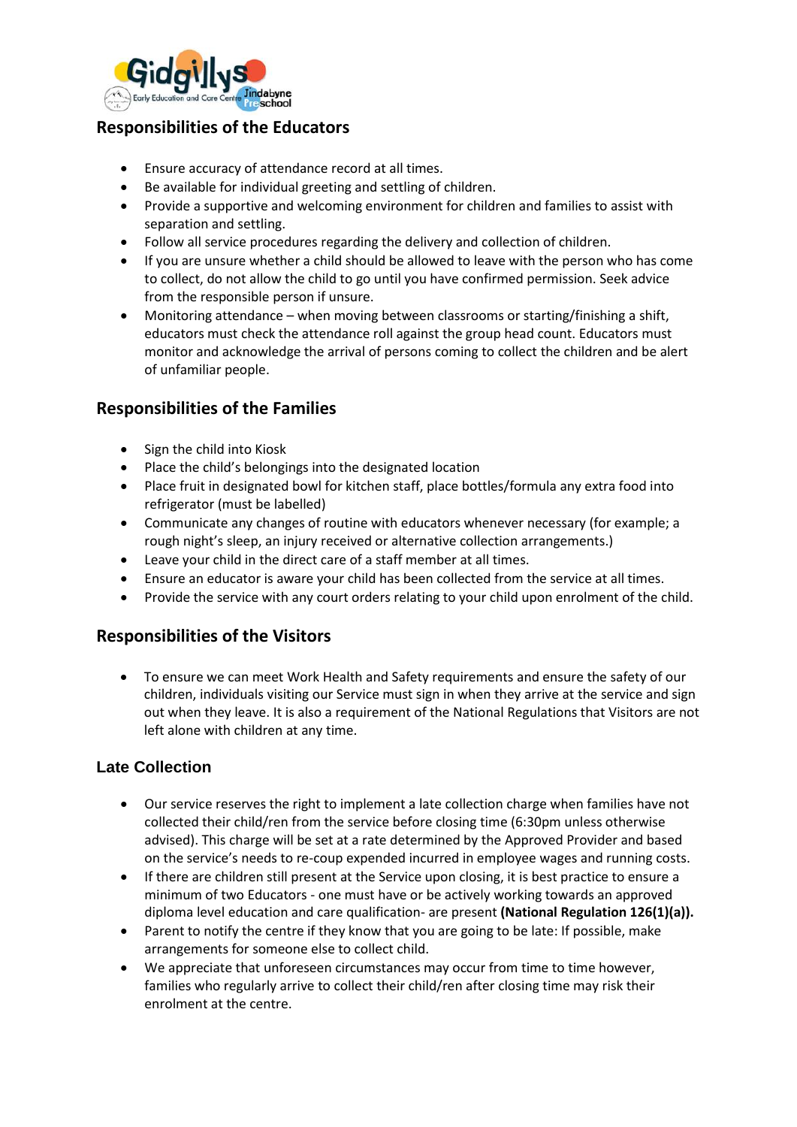

# **Responsibilities of the Educators**

- Ensure accuracy of attendance record at all times.
- Be available for individual greeting and settling of children.
- Provide a supportive and welcoming environment for children and families to assist with separation and settling.
- Follow all service procedures regarding the delivery and collection of children.
- If you are unsure whether a child should be allowed to leave with the person who has come to collect, do not allow the child to go until you have confirmed permission. Seek advice from the responsible person if unsure.
- Monitoring attendance when moving between classrooms or starting/finishing a shift, educators must check the attendance roll against the group head count. Educators must monitor and acknowledge the arrival of persons coming to collect the children and be alert of unfamiliar people.

# **Responsibilities of the Families**

- Sign the child into Kiosk
- Place the child's belongings into the designated location
- Place fruit in designated bowl for kitchen staff, place bottles/formula any extra food into refrigerator (must be labelled)
- Communicate any changes of routine with educators whenever necessary (for example; a rough night's sleep, an injury received or alternative collection arrangements.)
- Leave your child in the direct care of a staff member at all times.
- Ensure an educator is aware your child has been collected from the service at all times.
- Provide the service with any court orders relating to your child upon enrolment of the child.

# **Responsibilities of the Visitors**

• To ensure we can meet Work Health and Safety requirements and ensure the safety of our children, individuals visiting our Service must sign in when they arrive at the service and sign out when they leave. It is also a requirement of the National Regulations that Visitors are not left alone with children at any time.

#### **Late Collection**

- Our service reserves the right to implement a late collection charge when families have not collected their child/ren from the service before closing time (6:30pm unless otherwise advised). This charge will be set at a rate determined by the Approved Provider and based on the service's needs to re-coup expended incurred in employee wages and running costs.
- If there are children still present at the Service upon closing, it is best practice to ensure a minimum of two Educators - one must have or be actively working towards an approved diploma level education and care qualification- are present **(National Regulation 126(1)(a)).**
- Parent to notify the centre if they know that you are going to be late: If possible, make arrangements for someone else to collect child.
- We appreciate that unforeseen circumstances may occur from time to time however, families who regularly arrive to collect their child/ren after closing time may risk their enrolment at the centre.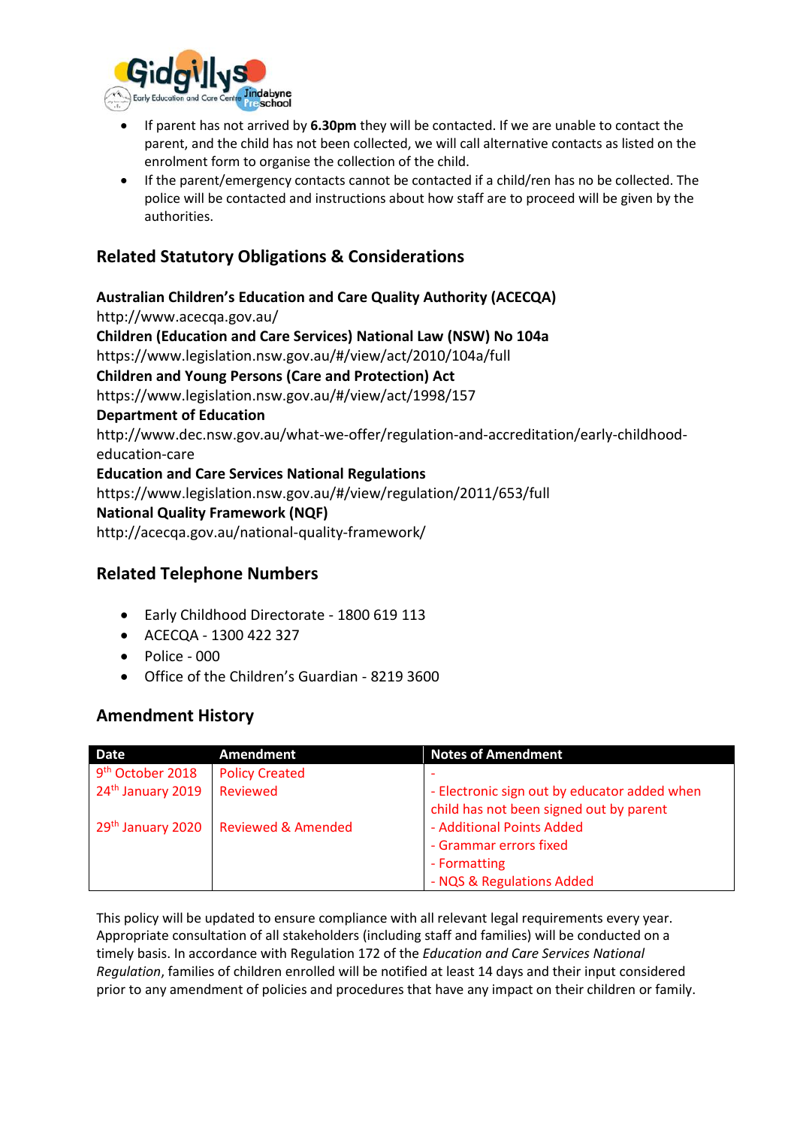

- If parent has not arrived by **6.30pm** they will be contacted. If we are unable to contact the parent, and the child has not been collected, we will call alternative contacts as listed on the enrolment form to organise the collection of the child.
- If the parent/emergency contacts cannot be contacted if a child/ren has no be collected. The police will be contacted and instructions about how staff are to proceed will be given by the authorities.

# **Related Statutory Obligations & Considerations**

**Australian Children's Education and Care Quality Authority (ACECQA)** http://www.acecqa.gov.au/ **Children (Education and Care Services) National Law (NSW) No 104a**  https://www.legislation.nsw.gov.au/#/view/act/2010/104a/full **Children and Young Persons (Care and Protection) Act**  https://www.legislation.nsw.gov.au/#/view/act/1998/157 **Department of Education** http://www.dec.nsw.gov.au/what-we-offer/regulation-and-accreditation/early-childhoodeducation-care **Education and Care Services National Regulations**  https://www.legislation.nsw.gov.au/#/view/regulation/2011/653/full **National Quality Framework (NQF)** http://acecqa.gov.au/national-quality-framework/

# **Related Telephone Numbers**

- Early Childhood Directorate 1800 619 113
- ACECQA 1300 422 327
- Police 000
- Office of the Children's Guardian 8219 3600

#### **Amendment History**

| <b>Date</b>                   | Amendment                                          | <b>Notes of Amendment</b>                    |
|-------------------------------|----------------------------------------------------|----------------------------------------------|
| 9 <sup>th</sup> October 2018  | <b>Policy Created</b>                              |                                              |
| 24 <sup>th</sup> January 2019 | Reviewed                                           | - Electronic sign out by educator added when |
|                               |                                                    | child has not been signed out by parent      |
|                               | 29 <sup>th</sup> January 2020   Reviewed & Amended | - Additional Points Added                    |
|                               |                                                    | - Grammar errors fixed                       |
|                               |                                                    | - Formatting                                 |
|                               |                                                    | - NQS & Regulations Added                    |

This policy will be updated to ensure compliance with all relevant legal requirements every year. Appropriate consultation of all stakeholders (including staff and families) will be conducted on a timely basis. In accordance with Regulation 172 of the *Education and Care Services National Regulation*, families of children enrolled will be notified at least 14 days and their input considered prior to any amendment of policies and procedures that have any impact on their children or family.